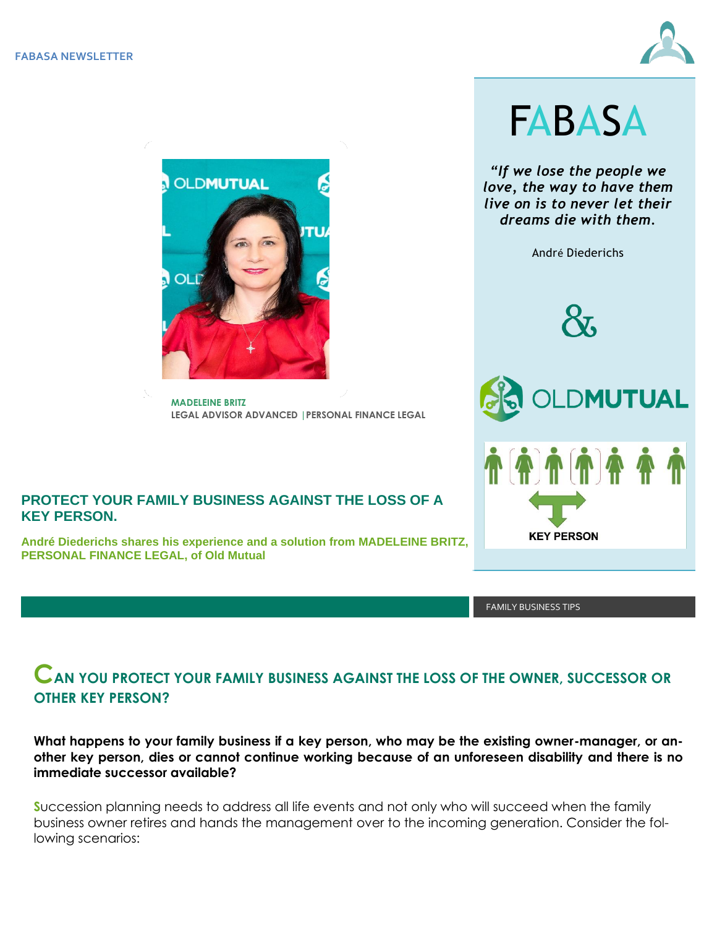



**MADELEINE BRITZ LEGAL ADVISOR ADVANCED |PERSONAL FINANCE LEGAL**

#### **PROTECT YOUR FAMILY BUSINESS AGAINST THE LOSS OF A KEY PERSON.**

**André Diederichs shares his experience and a solution from MADELEINE BRITZ, PERSONAL FINANCE LEGAL, of Old Mutual**

FAMILY BUSINESS TIPS

# **CAN YOU PROTECT YOUR FAMILY BUSINESS AGAINST THE LOSS OF THE OWNER, SUCCESSOR OR OTHER KEY PERSON?**

**What happens to your family business if a key person, who may be the existing owner-manager, or another key person, dies or cannot continue working because of an unforeseen disability and there is no immediate successor available?**

**S**uccession planning needs to address all life events and not only who will succeed when the family business owner retires and hands the management over to the incoming generation. Consider the following scenarios:



*"If we lose the people we love, the way to have them live on is to never let their dreams die with them.* 

André Diederichs



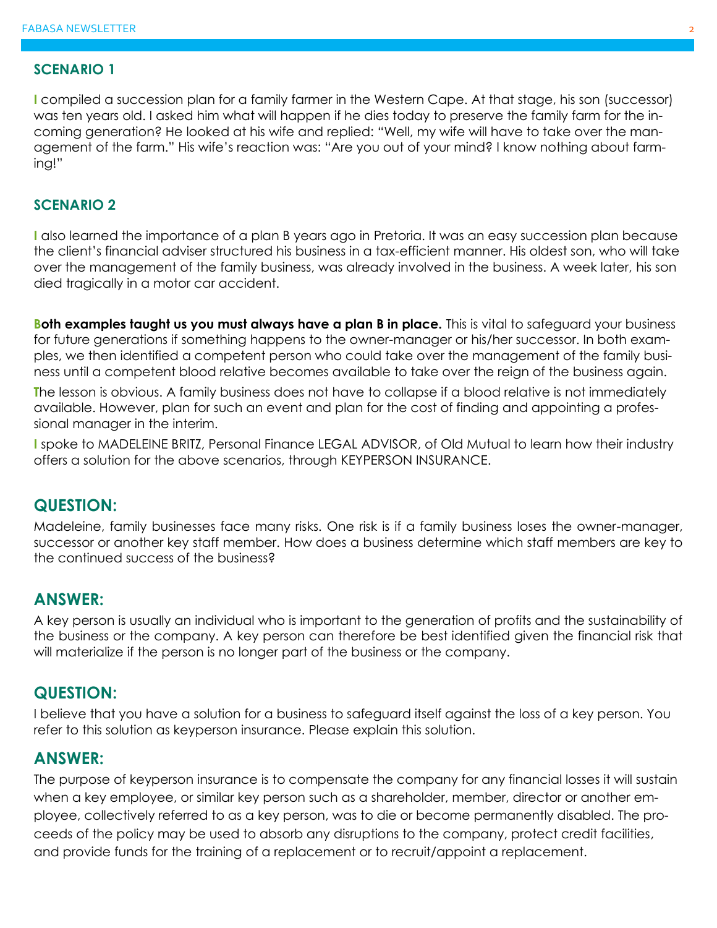#### **SCENARIO 1**

**I** compiled a succession plan for a family farmer in the Western Cape. At that stage, his son (successor) was ten years old. I asked him what will happen if he dies today to preserve the family farm for the incoming generation? He looked at his wife and replied: "Well, my wife will have to take over the management of the farm." His wife's reaction was: "Are you out of your mind? I know nothing about farming!"

#### **SCENARIO 2**

**I** also learned the importance of a plan B years ago in Pretoria. It was an easy succession plan because the client's financial adviser structured his business in a tax-efficient manner. His oldest son, who will take over the management of the family business, was already involved in the business. A week later, his son died tragically in a motor car accident.

**Both examples taught us you must always have a plan B in place.** This is vital to safeguard your business for future generations if something happens to the owner-manager or his/her successor. In both examples, we then identified a competent person who could take over the management of the family business until a competent blood relative becomes available to take over the reign of the business again.

**T**he lesson is obvious. A family business does not have to collapse if a blood relative is not immediately available. However, plan for such an event and plan for the cost of finding and appointing a professional manager in the interim.

**I** spoke to MADELEINE BRITZ, Personal Finance LEGAL ADVISOR, of Old Mutual to learn how their industry offers a solution for the above scenarios, through KEYPERSON INSURANCE.

### **QUESTION:**

Madeleine, family businesses face many risks. One risk is if a family business loses the owner-manager, successor or another key staff member. How does a business determine which staff members are key to the continued success of the business?

### **ANSWER:**

A key person is usually an individual who is important to the generation of profits and the sustainability of the business or the company. A key person can therefore be best identified given the financial risk that will materialize if the person is no longer part of the business or the company.

### **QUESTION:**

I believe that you have a solution for a business to safeguard itself against the loss of a key person. You refer to this solution as keyperson insurance. Please explain this solution.

# **ANSWER:**

The purpose of keyperson insurance is to compensate the company for any financial losses it will sustain when a key employee, or similar key person such as a shareholder, member, director or another employee, collectively referred to as a key person, was to die or become permanently disabled. The proceeds of the policy may be used to absorb any disruptions to the company, protect credit facilities, and provide funds for the training of a replacement or to recruit/appoint a replacement.